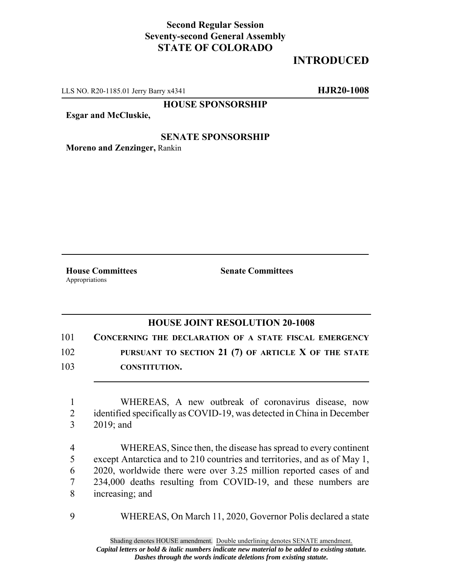## **Second Regular Session Seventy-second General Assembly STATE OF COLORADO**

## **INTRODUCED**

LLS NO. R20-1185.01 Jerry Barry x4341 **HJR20-1008**

**HOUSE SPONSORSHIP**

**Esgar and McCluskie,**

## **SENATE SPONSORSHIP**

**Moreno and Zenzinger,** Rankin

**House Committees Senate Committees** Appropriations

## **HOUSE JOINT RESOLUTION 20-1008**

101 **CONCERNING THE DECLARATION OF A STATE FISCAL EMERGENCY**

102 **PURSUANT TO SECTION 21 (7) OF ARTICLE X OF THE STATE**

103 **CONSTITUTION.**

1 WHEREAS, A new outbreak of coronavirus disease, now 2 identified specifically as COVID-19, was detected in China in December 3 2019; and

 WHEREAS, Since then, the disease has spread to every continent except Antarctica and to 210 countries and territories, and as of May 1, 2020, worldwide there were over 3.25 million reported cases of and 234,000 deaths resulting from COVID-19, and these numbers are increasing; and

9 WHEREAS, On March 11, 2020, Governor Polis declared a state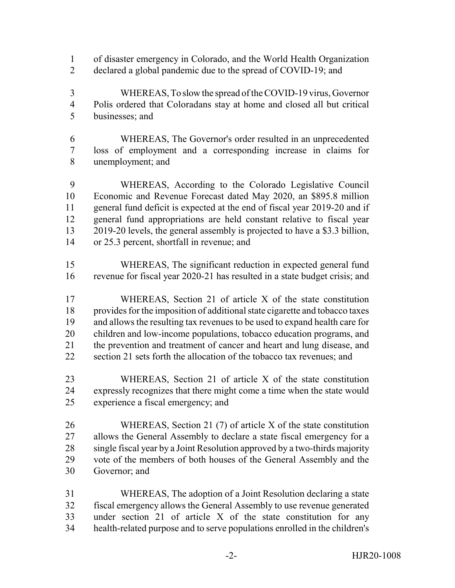- of disaster emergency in Colorado, and the World Health Organization
- declared a global pandemic due to the spread of COVID-19; and
- WHEREAS, To slow the spread of the COVID-19 virus, Governor Polis ordered that Coloradans stay at home and closed all but critical businesses; and
- WHEREAS, The Governor's order resulted in an unprecedented loss of employment and a corresponding increase in claims for unemployment; and

 WHEREAS, According to the Colorado Legislative Council Economic and Revenue Forecast dated May 2020, an \$895.8 million general fund deficit is expected at the end of fiscal year 2019-20 and if general fund appropriations are held constant relative to fiscal year 2019-20 levels, the general assembly is projected to have a \$3.3 billion, or 25.3 percent, shortfall in revenue; and

- WHEREAS, The significant reduction in expected general fund revenue for fiscal year 2020-21 has resulted in a state budget crisis; and
- WHEREAS, Section 21 of article X of the state constitution provides for the imposition of additional state cigarette and tobacco taxes and allows the resulting tax revenues to be used to expand health care for children and low-income populations, tobacco education programs, and the prevention and treatment of cancer and heart and lung disease, and section 21 sets forth the allocation of the tobacco tax revenues; and
- WHEREAS, Section 21 of article X of the state constitution expressly recognizes that there might come a time when the state would experience a fiscal emergency; and
- WHEREAS, Section 21 (7) of article X of the state constitution allows the General Assembly to declare a state fiscal emergency for a single fiscal year by a Joint Resolution approved by a two-thirds majority vote of the members of both houses of the General Assembly and the Governor; and
- WHEREAS, The adoption of a Joint Resolution declaring a state fiscal emergency allows the General Assembly to use revenue generated under section 21 of article X of the state constitution for any health-related purpose and to serve populations enrolled in the children's